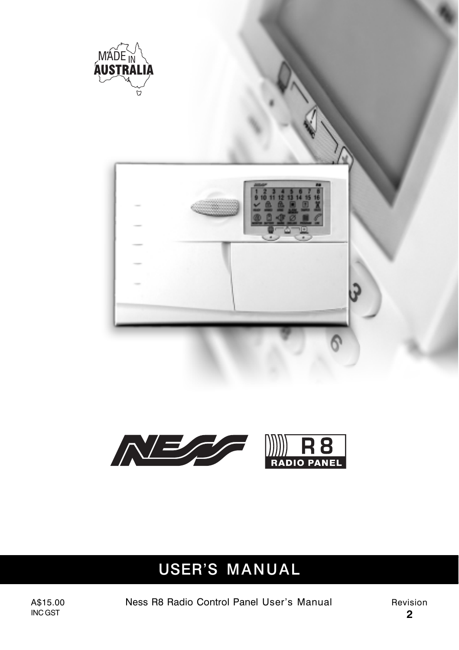



## USER'S MANUAL

Ness R8 Radio Control Panel User's Manual Revision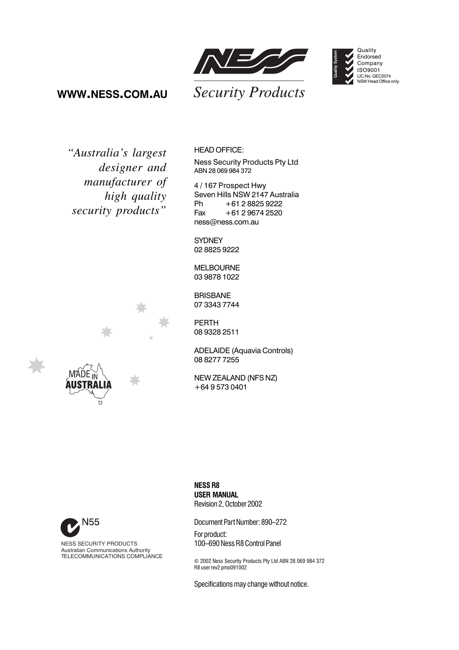



#### **WWW.NESS.COM.AU**

*"Australia's largest designer and manufacturer of high quality security products"*

#### HEAD OFFICE:

Ness Security Products Pty Ltd ABN 28 069 984 372

4 / 167 Prospect Hwy Seven Hills NSW 2147 Australia<br>Ph $+61288259222$ Ph +61 2 8825 9222<br>Fax +61 2 9674 2520  $+61$  2 9674 2520 ness@ness.com.au

**SYDNEY** 02 8825 9222

MELBOURNE 03 9878 1022

**BRISBANE** 07 3343 7744

PERTH 08 9328 2511

ADELAIDE (Aquavia Controls) 08 8277 7255

NEW ZEALAND (NFS NZ) +64 9 573 0401

**NESS R8 USER MANUAL** Revision 2, October 2002

Document Part Number: 890–272

For product: 100–690 Ness R8 Control Panel

© 2002 Ness Security Products Pty Ltd ABN 28 069 984 372 R8 user rev2 pmo091002

Specifications may change without notice.







NESS SECURITY PRODUCTS Australian Communications Authority<br>TELECOMMUNICATIONS COMPLIANCE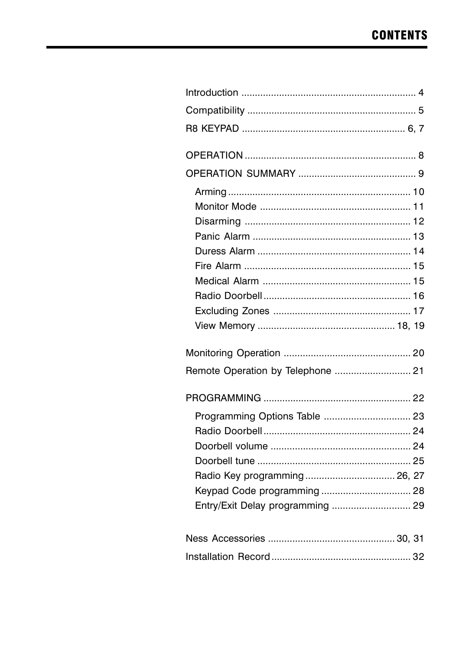| Remote Operation by Telephone  21 |  |
|-----------------------------------|--|
|                                   |  |
| Programming Options Table  23     |  |
|                                   |  |
|                                   |  |
|                                   |  |
|                                   |  |
| Keypad Code programming  28       |  |
| Entry/Exit Delay programming  29  |  |
|                                   |  |
|                                   |  |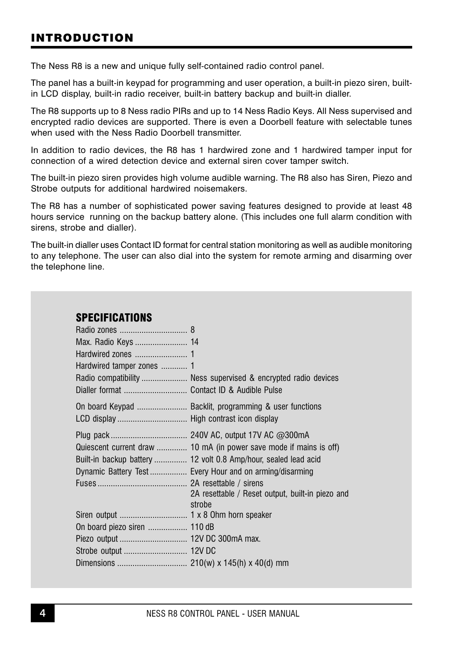### INTRODUCTION

The Ness R8 is a new and unique fully self-contained radio control panel.

The panel has a built-in keypad for programming and user operation, a built-in piezo siren, builtin LCD display, built-in radio receiver, built-in battery backup and built-in dialler.

The R8 supports up to 8 Ness radio PIRs and up to 14 Ness Radio Keys. All Ness supervised and encrypted radio devices are supported. There is even a Doorbell feature with selectable tunes when used with the Ness Radio Doorbell transmitter

In addition to radio devices, the R8 has 1 hardwired zone and 1 hardwired tamper input for connection of a wired detection device and external siren cover tamper switch.

The built-in piezo siren provides high volume audible warning. The R8 also has Siren, Piezo and Strobe outputs for additional hardwired noisemakers.

The R8 has a number of sophisticated power saving features designed to provide at least 48 hours service running on the backup battery alone. (This includes one full alarm condition with sirens, strobe and dialler).

The built-in dialler uses Contact ID format for central station monitoring as well as audible monitoring to any telephone. The user can also dial into the system for remote arming and disarming over the telephone line.

#### SPECIFICATIONS

| Max. Radio Keys  14                        |                                                                    |
|--------------------------------------------|--------------------------------------------------------------------|
|                                            |                                                                    |
| Hardwired tamper zones  1                  |                                                                    |
|                                            | Radio compatibility  Ness supervised & encrypted radio devices     |
| Dialler format  Contact ID & Audible Pulse |                                                                    |
|                                            | On board Keypad  Backlit, programming & user functions             |
|                                            |                                                                    |
|                                            |                                                                    |
|                                            | Quiescent current draw  10 mA (in power save mode if mains is off) |
|                                            | Built-in backup battery  12 volt 0.8 Amp/hour, sealed lead acid    |
|                                            | Dynamic Battery Test Every Hour and on arming/disarming            |
|                                            |                                                                    |
|                                            | 2A resettable / Reset output, built-in piezo and                   |
|                                            | strobe                                                             |
|                                            |                                                                    |
| On board piezo siren  110 dB               |                                                                    |
|                                            |                                                                    |
| Strobe output  12V DC                      |                                                                    |
|                                            |                                                                    |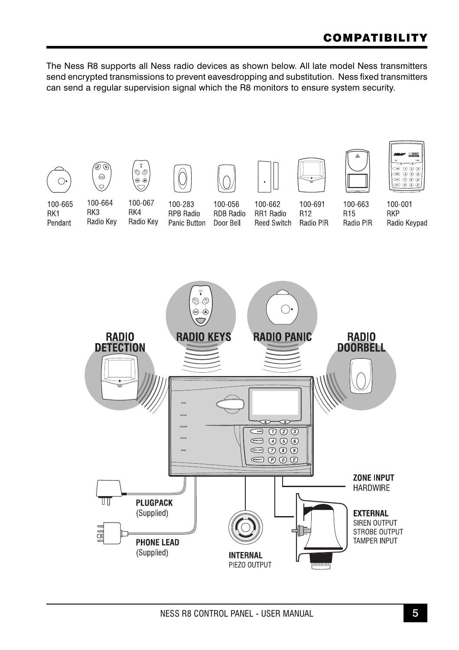The Ness R8 supports all Ness radio devices as shown below. All late model Ness transmitters send encrypted transmissions to prevent eavesdropping and substitution. Ness fixed transmitters can send a regular supervision signal which the R8 monitors to ensure system security.















**R15** 



100-665 RK1 Pendant

100-664 100-067 RK4 Radio Key Radio Key

RK3

100-283 **RPB Radio** Panic Button

100-056 **RDB Radio** Door Bell

100-662 RR1 Radio **Reed Switch** 

100-691 R<sub>12</sub> Radio PIR

100-663 **RKP** Radio PIR

100-001 Radio Keypad

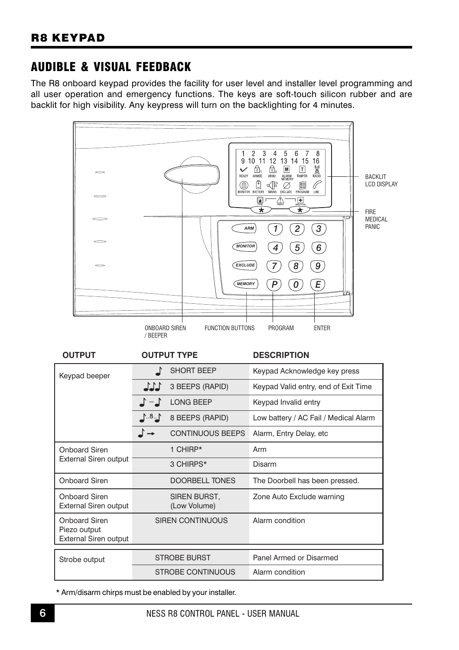## AUDIBLE & VISUAL FEEDBACK

The R8 onboard keypad provides the facility for user level and installer level programming and all user operation and emergency functions. The keys are soft-touch silicon rubber and are backlit for high visibility. Any keypress will turn on the backlighting for 4 minutes.



\* Arm/disarm chirps must be enabled by your installer.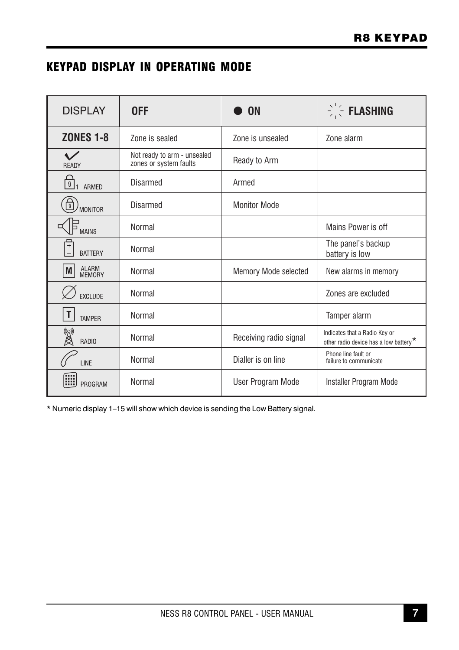## KEYPAD DISPLAY IN OPERATING MODE

| <b>DISPLAY</b>                   | 0FF                                                   | ON                     | $\frac{1}{2}$ FLASHING                                                 |
|----------------------------------|-------------------------------------------------------|------------------------|------------------------------------------------------------------------|
| <b>ZONES 1-8</b>                 | Zone is sealed                                        | Zone is unsealed       | Zone alarm                                                             |
| <b>READY</b>                     | Not ready to arm - unsealed<br>zones or system faults | Ready to Arm           |                                                                        |
| $\sqrt{1}$<br>ARMFD              | Disarmed                                              | Armed                  |                                                                        |
| गि<br><b>MONITOR</b>             | <b>Disarmed</b>                                       | <b>Monitor Mode</b>    |                                                                        |
| <b>MAINS</b>                     | Normal                                                |                        | Mains Power is off                                                     |
| $\overline{+}$<br><b>BATTERY</b> | Normal                                                |                        | The panel's backup<br>battery is low                                   |
| ALARM<br>MEMORY<br>M             | Normal                                                | Memory Mode selected   | New alarms in memory                                                   |
| <b>EXCLUDE</b>                   | Normal                                                |                        | Zones are excluded                                                     |
| Τ<br><b>TAMPER</b>               | Normal                                                |                        | Tamper alarm                                                           |
| (S)<br>RADIO                     | Normal                                                | Receiving radio signal | Indicates that a Radio Key or<br>other radio device has a low battery* |
| LINE                             | Normal                                                | Dialler is on line     | Phone line fault or<br>failure to communicate                          |
| 98<br>PROGRAM                    | Normal                                                | User Program Mode      | Installer Program Mode                                                 |

\* Numeric display 1–15 will show which device is sending the Low Battery signal.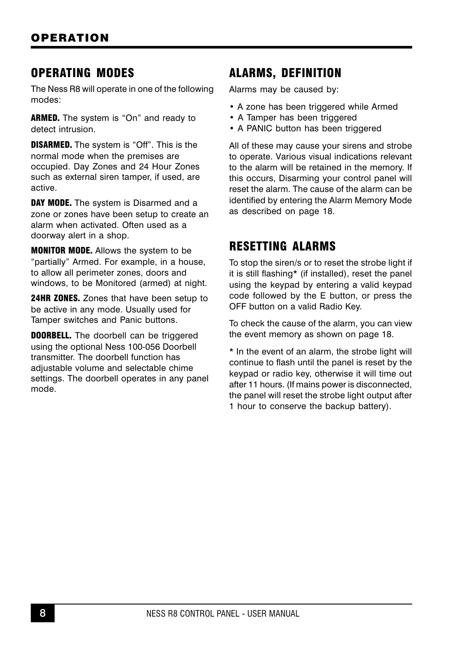#### OPERATING MODES

The Ness R8 will operate in one of the following modes:

ARMED. The system is "On" and ready to detect intrusion.

DISARMED. The system is "Off". This is the normal mode when the premises are occupied. Day Zones and 24 Hour Zones such as external siren tamper, if used, are active.

DAY MODE. The system is Disarmed and a zone or zones have been setup to create an alarm when activated. Often used as a doorway alert in a shop.

MONITOR MODE. Allows the system to be "partially" Armed. For example, in a house, to allow all perimeter zones, doors and windows, to be Monitored (armed) at night.

24HR ZONES. Zones that have been setup to be active in any mode. Usually used for Tamper switches and Panic buttons.

**DOORBELL.** The doorbell can be triggered using the optional Ness 100-056 Doorbell transmitter. The doorbell function has adjustable volume and selectable chime settings. The doorbell operates in any panel mode.

### ALARMS, DEFINITION

Alarms may be caused by:

- A zone has been triggered while Armed
- A Tamper has been triggered
- A PANIC button has been triggered

All of these may cause your sirens and strobe to operate. Various visual indications relevant to the alarm will be retained in the memory. If this occurs, Disarming your control panel will reset the alarm. The cause of the alarm can be identified by entering the Alarm Memory Mode as described on page 18.

#### RESETTING ALARMS

To stop the siren/s or to reset the strobe light if it is still flashing\* (if installed), reset the panel using the keypad by entering a valid keypad code followed by the E button, or press the OFF button on a valid Radio Key.

To check the cause of the alarm, you can view the event memory as shown on page 18.

\* In the event of an alarm, the strobe light will continue to flash until the panel is reset by the keypad or radio key, otherwise it will time out after 11 hours. (If mains power is disconnected, the panel will reset the strobe light output after 1 hour to conserve the backup battery).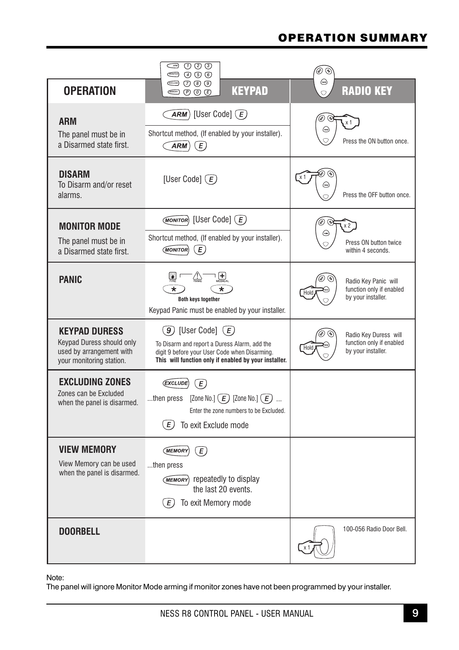## OPERATION SUMMARY

|                                                                                                           | $O$ $O$ $O$<br>$\subset$ ARM<br>$\circled{f}$ (4) (5) (6)                                                                                                                                           | ی (ک                                                                            |
|-----------------------------------------------------------------------------------------------------------|-----------------------------------------------------------------------------------------------------------------------------------------------------------------------------------------------------|---------------------------------------------------------------------------------|
| <b>OPERATION</b>                                                                                          | <b>ENTIRE (7) (8) (9)</b><br><b>KEYPAD</b><br>$\circledcirc$ (P) (O) (E)                                                                                                                            | ⊝<br><b>RADIO KEY</b><br>$\bigcirc$                                             |
| <b>ARM</b><br>The panel must be in<br>a Disarmed state first.                                             | $\widehat{ARM}$ ) [User Code] $\widehat{(E)}$<br>Shortcut method, (If enabled by your installer).<br>ARM)<br>(E)                                                                                    | ⊛<br>⊝<br>◯<br>Press the ON button once.                                        |
| <b>DISARM</b><br>To Disarm and/or reset<br>alarms.                                                        | [User Code] $\left(\overline{E}\right)$                                                                                                                                                             | x 1<br>(m)<br>Press the OFF button once.                                        |
| <b>MONITOR MODE</b><br>The panel must be in<br>a Disarmed state first.                                    | (MONITOR) [User Code] (E)<br>Shortcut method, (If enabled by your installer).<br>$(MONITOR)$ $(E)$                                                                                                  | ⊝<br>Press ON button twice<br>◯<br>within 4 seconds.                            |
| <b>PANIC</b>                                                                                              | $ + $<br>$\star$<br>Both keys together<br>Keypad Panic must be enabled by your installer.                                                                                                           | Radio Key Panic will<br>function only if enabled<br>Hold<br>by your installer.  |
| <b>KEYPAD DURESS</b><br>Keypad Duress should only<br>used by arrangement with<br>your monitoring station. | $\circledcirc$ [User Code] $\circledcirc$<br>To Disarm and report a Duress Alarm, add the<br>digit 9 before your User Code when Disarming.<br>This will function only if enabled by your installer. | Radio Key Duress will<br>function only if enabled<br>Hold<br>by your installer. |
| <b>EXCLUDING ZONES</b><br>Zones can be Excluded<br>when the panel is disarmed.                            | (EXCLUDE)<br>E)<br>then press [Zone No.] $\left(\overline{E}\right)$ [Zone No.] $\left(\overline{E}\right)$<br>Enter the zone numbers to be Excluded.<br>( E )<br>To exit Exclude mode              |                                                                                 |
| <b>VIEW MEMORY</b><br>View Memory can be used<br>when the panel is disarmed.                              | <b>MEMORY</b><br>E)<br>then press<br>repeatedly to display<br>(MEMORY)<br>the last 20 events.<br>To exit Memory mode<br>E)                                                                          |                                                                                 |
| <b>DOORBELL</b>                                                                                           |                                                                                                                                                                                                     | 100-056 Radio Door Bell.                                                        |

Note:

The panel will ignore Monitor Mode arming if monitor zones have not been programmed by your installer.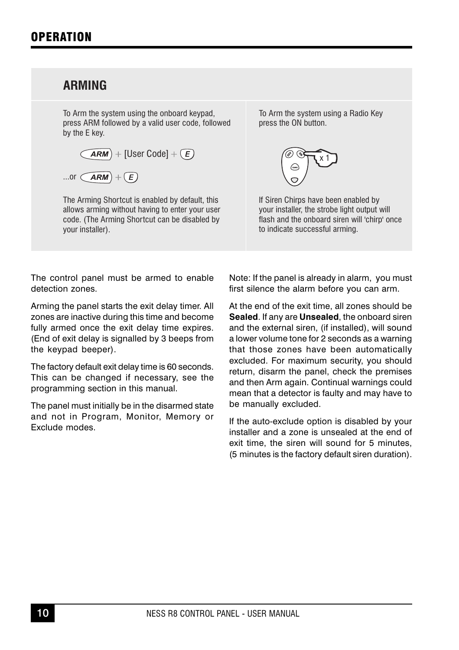## **ARMING**

To Arm the system using the onboard keypad, press ARM followed by a valid user code, followed by the E key.

$$
(ARM) + [User Code] + (E)
$$

$$
\ldots \text{or } \widehat{\mathcal{C}(\mathit{ARM})} + \widehat{\mathcal{C}}
$$

The Arming Shortcut is enabled by default, this allows arming without having to enter your user code. (The Arming Shortcut can be disabled by your installer).

To Arm the system using a Radio Key press the ON button.



If Siren Chirps have been enabled by your installer, the strobe light output will flash and the onboard siren will 'chirp' once to indicate successful arming.

The control panel must be armed to enable detection zones.

Arming the panel starts the exit delay timer. All zones are inactive during this time and become fully armed once the exit delay time expires. (End of exit delay is signalled by 3 beeps from the keypad beeper).

The factory default exit delay time is 60 seconds. This can be changed if necessary, see the programming section in this manual.

The panel must initially be in the disarmed state and not in Program, Monitor, Memory or Exclude modes.

Note: If the panel is already in alarm, you must first silence the alarm before you can arm.

At the end of the exit time, all zones should be **Sealed**. If any are **Unsealed**, the onboard siren and the external siren, (if installed), will sound a lower volume tone for 2 seconds as a warning that those zones have been automatically excluded. For maximum security, you should return, disarm the panel, check the premises and then Arm again. Continual warnings could mean that a detector is faulty and may have to be manually excluded.

If the auto-exclude option is disabled by your installer and a zone is unsealed at the end of exit time, the siren will sound for 5 minutes, (5 minutes is the factory default siren duration).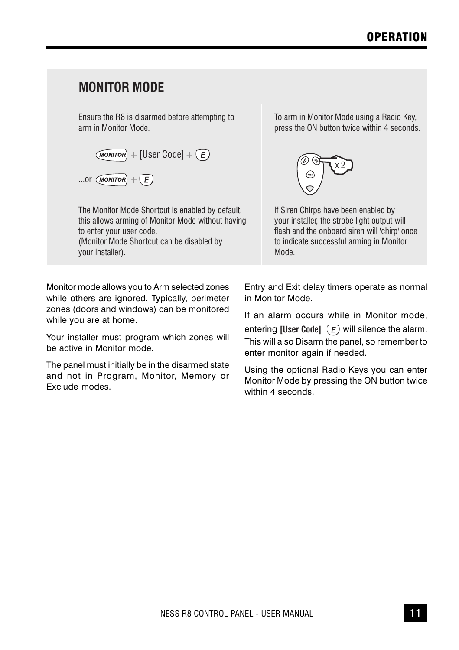## **MONITOR MODE**

Ensure the R8 is disarmed before attempting to arm in Monitor Mode.

$$
(\text{Monitor}) + [\text{User Code}] + [\text{E}]
$$

$$
\ldots \text{or } \overline{\text{Monitor}} + \textcircled{\texttt{F}}
$$

The Monitor Mode Shortcut is enabled by default, this allows arming of Monitor Mode without having to enter your user code. (Monitor Mode Shortcut can be disabled by your installer).

Monitor mode allows you to Arm selected zones while others are ignored. Typically, perimeter zones (doors and windows) can be monitored while you are at home.

Your installer must program which zones will be active in Monitor mode.

The panel must initially be in the disarmed state and not in Program, Monitor, Memory or Exclude modes.

To arm in Monitor Mode using a Radio Key, press the ON button twice within 4 seconds.



If Siren Chirps have been enabled by your installer, the strobe light output will flash and the onboard siren will 'chirp' once to indicate successful arming in Monitor Mode.

Entry and Exit delay timers operate as normal in Monitor Mode.

If an alarm occurs while in Monitor mode,

entering **[User Code]**  $\left(\overline{E}\right)$  will silence the alarm. This will also Disarm the panel, so remember to enter monitor again if needed.

Using the optional Radio Keys you can enter Monitor Mode by pressing the ON button twice within 4 seconds.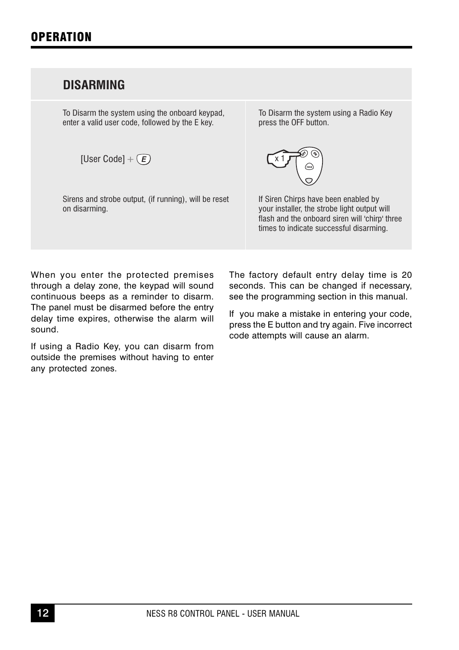## **DISARMING**

To Disarm the system using the onboard keypad, enter a valid user code, followed by the E key.

[User Code] +  $(E)$ 

Sirens and strobe output, (if running), will be reset on disarming.

To Disarm the system using a Radio Key press the OFF button.



If Siren Chirps have been enabled by your installer, the strobe light output will flash and the onboard siren will 'chirp' three times to indicate successful disarming.

When you enter the protected premises through a delay zone, the keypad will sound continuous beeps as a reminder to disarm. The panel must be disarmed before the entry delay time expires, otherwise the alarm will sound.

If using a Radio Key, you can disarm from outside the premises without having to enter any protected zones.

The factory default entry delay time is 20 seconds. This can be changed if necessary. see the programming section in this manual.

If you make a mistake in entering your code, press the E button and try again. Five incorrect code attempts will cause an alarm.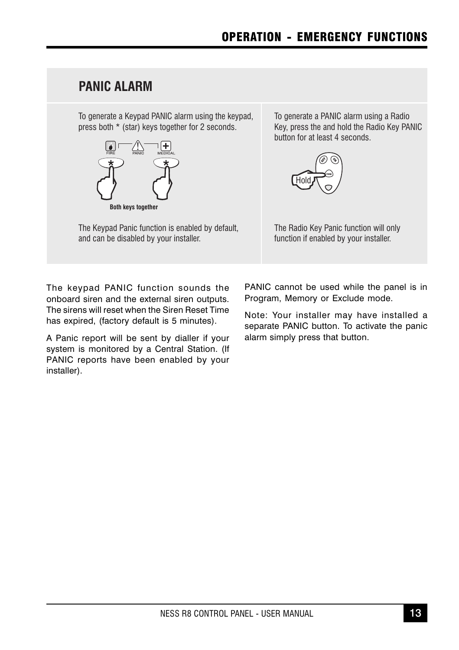## **PANIC ALARM**

To generate a Keypad PANIC alarm using the keypad, press both \* (star) keys together for 2 seconds.



The Keypad Panic function is enabled by default, and can be disabled by your installer.

To generate a PANIC alarm using a Radio Key, press the and hold the Radio Key PANIC button for at least 4 seconds.



The Radio Key Panic function will only function if enabled by your installer.

The keypad PANIC function sounds the onboard siren and the external siren outputs. The sirens will reset when the Siren Reset Time has expired, (factory default is 5 minutes).

A Panic report will be sent by dialler if your system is monitored by a Central Station. (If PANIC reports have been enabled by your installer).

PANIC cannot be used while the panel is in Program, Memory or Exclude mode.

Note: Your installer may have installed a separate PANIC button. To activate the panic alarm simply press that button.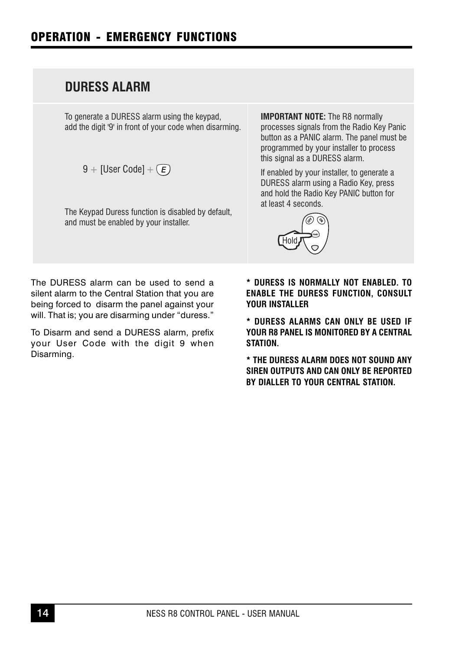## **DURESS ALARM**

To generate a DURESS alarm using the keypad, add the digit '9' in front of your code when disarming.

 $9 +$  [User Code] +  $\left(\overline{E}\right)$ 

The Keypad Duress function is disabled by default, and must be enabled by your installer.

**IMPORTANT NOTE:** The R8 normally processes signals from the Radio Key Panic button as a PANIC alarm. The panel must be programmed by your installer to process this signal as a DURESS alarm.

If enabled by your installer, to generate a DURESS alarm using a Radio Key, press and hold the Radio Key PANIC button for at least 4 seconds.



The DURESS alarm can be used to send a silent alarm to the Central Station that you are being forced to disarm the panel against your will. That is; you are disarming under "duress."

To Disarm and send a DURESS alarm, prefix your User Code with the digit 9 when Disarming.

**\* DURESS IS NORMALLY NOT ENABLED. TO ENABLE THE DURESS FUNCTION, CONSULT YOUR INSTALLER**

**\* DURESS ALARMS CAN ONLY BE USED IF YOUR R8 PANEL IS MONITORED BY A CENTRAL STATION.**

**\* THE DURESS ALARM DOES NOT SOUND ANY SIREN OUTPUTS AND CAN ONLY BE REPORTED BY DIALLER TO YOUR CENTRAL STATION.**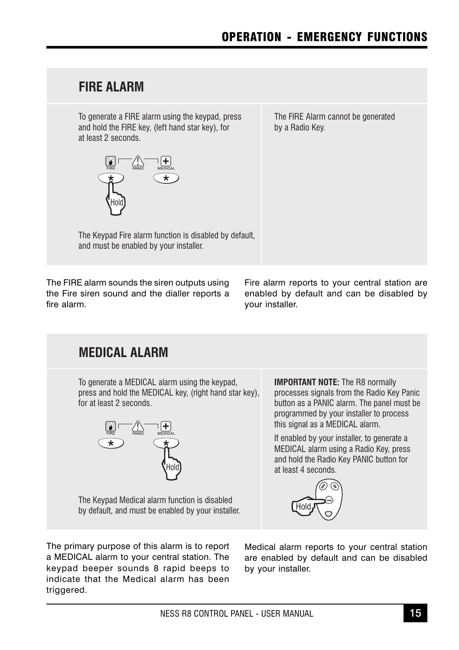The FIRE Alarm cannot be generated

by a Radio Key.

your installer.

## **FIRE ALARM**

To generate a FIRE alarm using the keypad, press and hold the FIRE key, (left hand star key), for at least 2 seconds.



The Keypad Fire alarm function is disabled by default, and must be enabled by your installer.

The FIRE alarm sounds the siren outputs using the Fire siren sound and the dialler reports a fire alarm.

Fire alarm reports to your central station are enabled by default and can be disabled by

## **MEDICAL ALARM**

To generate a MEDICAL alarm using the keypad, press and hold the MEDICAL key, (right hand star key), for at least 2 seconds.



The Keypad Medical alarm function is disabled by default, and must be enabled by your installer.

The primary purpose of this alarm is to report a MEDICAL alarm to your central station. The keypad beeper sounds 8 rapid beeps to indicate that the Medical alarm has been triggered.

**IMPORTANT NOTE:** The R8 normally processes signals from the Radio Key Panic button as a PANIC alarm. The panel must be programmed by your installer to process this signal as a MEDICAL alarm.

If enabled by your installer, to generate a MEDICAL alarm using a Radio Key, press and hold the Radio Key PANIC button for at least 4 seconds.



Medical alarm reports to your central station are enabled by default and can be disabled by your installer.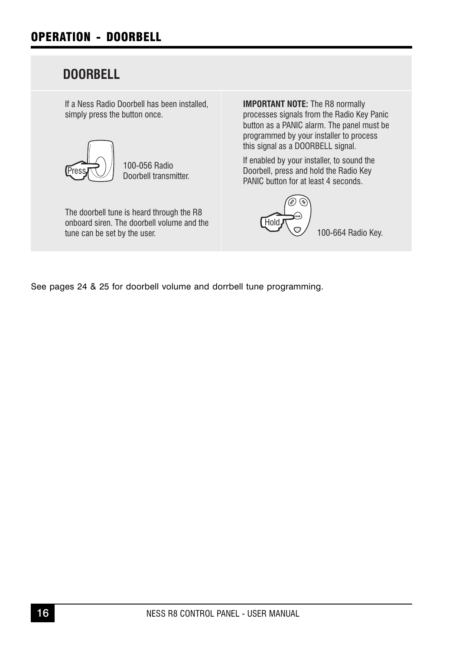## **DOORBELL**

If a Ness Radio Doorbell has been installed, simply press the button once.



100-056 Radio Doorbell transmitter.

The doorbell tune is heard through the R8 onboard siren. The doorbell volume and the tune can be set by the user.

**IMPORTANT NOTE:** The R8 normally processes signals from the Radio Key Panic button as a PANIC alarm. The panel must be programmed by your installer to process this signal as a DOORBELL signal.

If enabled by your installer, to sound the Doorbell, press and hold the Radio Key PANIC button for at least 4 seconds.



100-664 Radio Key.

See pages 24 & 25 for doorbell volume and dorrbell tune programming.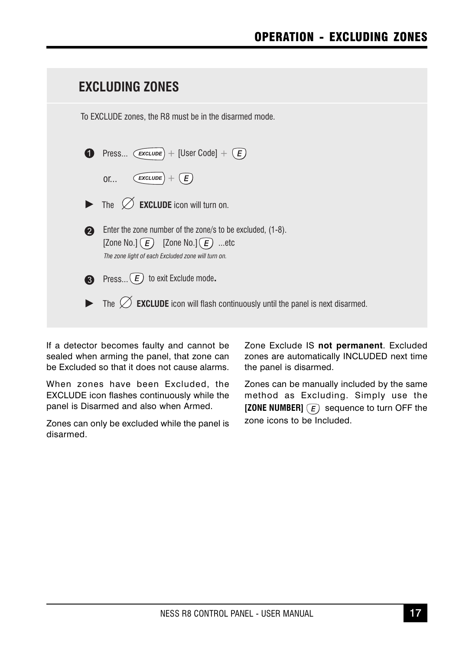## **EXCLUDING ZONES**

To EXCLUDE zones, the R8 must be in the disarmed mode.

|    | <b>Press</b> $(\epsilon x c \iota \iota \iota \iota \epsilon)$ + [User Code] + ( $\epsilon$ )                                                                             |
|----|---------------------------------------------------------------------------------------------------------------------------------------------------------------------------|
|    | $($ EXCLUDE $)+$<br>( E )<br>0r                                                                                                                                           |
|    | $\triangleright$ The $\oslash$ <b>EXCLUDE</b> icon will turn on.                                                                                                          |
| 2) | Enter the zone number of the zone/s to be excluded, (1-8).<br>[Zone No.] $\big(E\big)$ [Zone No.] $\big(E\big)$ etc<br>The zone light of each Excluded zone will turn on. |
| A  | Press $(E)$ to exit Exclude mode.                                                                                                                                         |
|    | $\triangleright$ The $\oslash$ <b>EXCLUDE</b> icon will flash continuously until the panel is next disarmed.                                                              |

If a detector becomes faulty and cannot be sealed when arming the panel, that zone can be Excluded so that it does not cause alarms.

When zones have been Excluded, the EXCLUDE icon flashes continuously while the panel is Disarmed and also when Armed.

Zones can only be excluded while the panel is disarmed.

Zone Exclude IS **not permanent**. Excluded zones are automatically INCLUDED next time the panel is disarmed.

Zones can be manually included by the same method as Excluding. Simply use the **[ZONE NUMBER]**  $\overline{E}$  sequence to turn OFF the zone icons to be Included.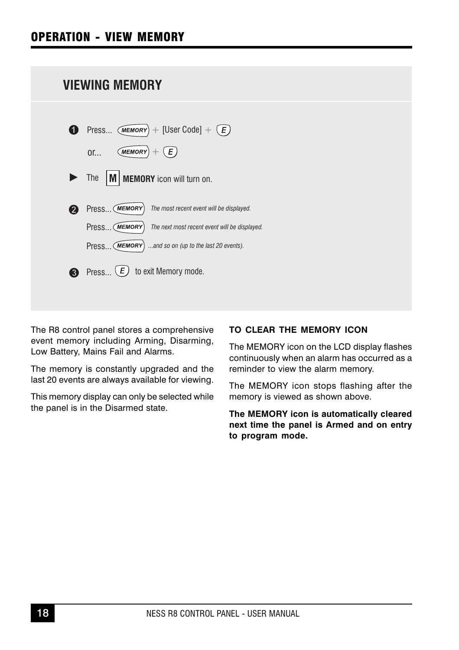

The R8 control panel stores a comprehensive event memory including Arming, Disarming, Low Battery, Mains Fail and Alarms.

The memory is constantly upgraded and the last 20 events are always available for viewing.

This memory display can only be selected while the panel is in the Disarmed state.

#### **TO CLEAR THE MEMORY ICON**

The MEMORY icon on the LCD display flashes continuously when an alarm has occurred as a reminder to view the alarm memory.

The MEMORY icon stops flashing after the memory is viewed as shown above.

**The MEMORY icon is automatically cleared next time the panel is Armed and on entry to program mode.**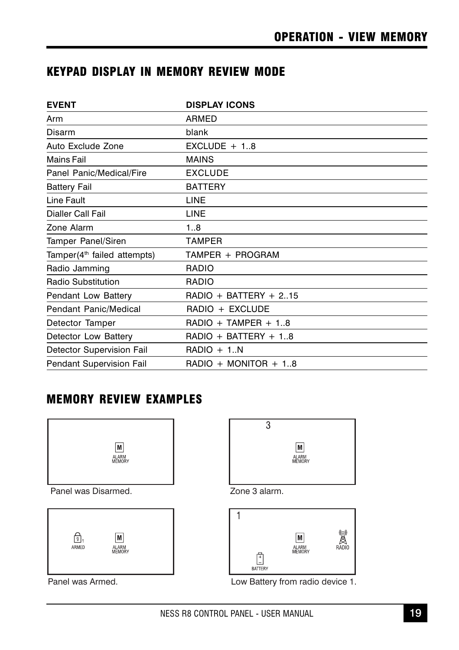## KEYPAD DISPLAY IN MEMORY REVIEW MODE

| <b>EVENT</b>                            | <b>DISPLAY ICONS</b>     |
|-----------------------------------------|--------------------------|
| Arm                                     | ARMED                    |
| Disarm                                  | blank                    |
| Auto Exclude Zone                       | $EXCLUDE + 1.8$          |
| Mains Fail                              | <b>MAINS</b>             |
| Panel Panic/Medical/Fire                | <b>EXCLUDE</b>           |
| <b>Battery Fail</b>                     | <b>BATTERY</b>           |
| Line Fault                              | LINE                     |
| Dialler Call Fail                       | LINE                     |
| Zone Alarm                              | 18                       |
| Tamper Panel/Siren                      | <b>TAMPER</b>            |
| Tamper(4 <sup>th</sup> failed attempts) | TAMPER + PROGRAM         |
| Radio Jamming                           | RADIO                    |
| <b>Radio Substitution</b>               | <b>RADIO</b>             |
| Pendant Low Battery                     | $RADIO + BATTERY + 2.15$ |
| Pendant Panic/Medical                   | RADIO + EXCLUDE          |
| Detector Tamper                         | $RADIO + TAMPER + 1.8$   |
| Detector Low Battery                    | $RADIO + BATTERY + 1.8$  |
| Detector Supervision Fail               | $RADIO + 1.N$            |
| <b>Pendant Supervision Fail</b>         | $RADIO + MONITOR + 18$   |

## MEMORY REVIEW EXAMPLES



Panel was Disarmed. The Cone 3 alarm.







Panel was Armed. The state of the Low Battery from radio device 1.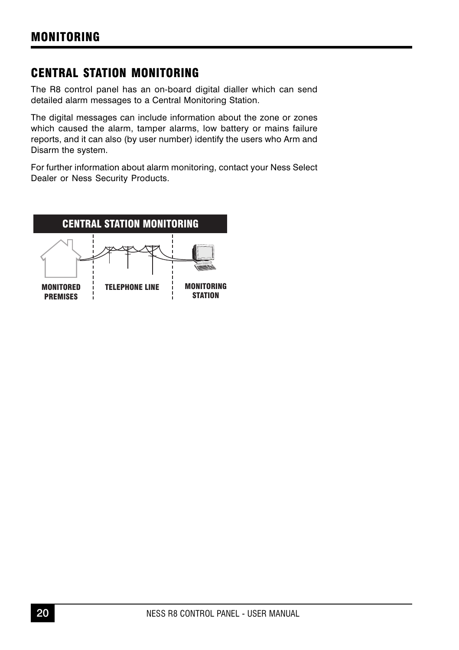## CENTRAL STATION MONITORING

The R8 control panel has an on-board digital dialler which can send detailed alarm messages to a Central Monitoring Station.

The digital messages can include information about the zone or zones which caused the alarm, tamper alarms, low battery or mains failure reports, and it can also (by user number) identify the users who Arm and Disarm the system.

For further information about alarm monitoring, contact your Ness Select Dealer or Ness Security Products.

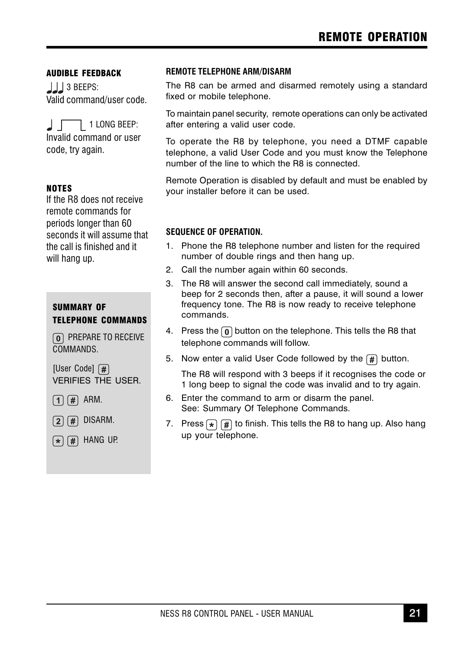#### AUDIBLE FEEDBACK

 3 BEEPS: Valid command/user code.

1 LONG BEEP:  $\perp$  [ Invalid command or user code, try again.

#### **NOTES**

If the R8 does not receive remote commands for periods longer than 60 seconds it will assume that the call is finished and it will hang up.

#### SUMMARY OF TELEPHONE COMMANDS

n PREPARE TO RECEIVE COMMANDS.

[User Code] [#] VERIFIES THE USER.

- $\boxed{1}$  $\boxed{H}$  ARM.
- $\boxed{2}$   $\boxed{4}$  DISARM.
- $\mathbb{R}$   $\mathbb{H}$  HANG UP.

#### **REMOTE TELEPHONE ARM/DISARM**

The R8 can be armed and disarmed remotely using a standard fixed or mobile telephone.

To maintain panel security, remote operations can only be activated after entering a valid user code.

To operate the R8 by telephone, you need a DTMF capable telephone, a valid User Code and you must know the Telephone number of the line to which the R8 is connected.

Remote Operation is disabled by default and must be enabled by your installer before it can be used.

#### **SEQUENCE OF OPERATION.**

- 1. Phone the R8 telephone number and listen for the required number of double rings and then hang up.
- 2. Call the number again within 60 seconds.
- 3. The R8 will answer the second call immediately, sound a beep for 2 seconds then, after a pause, it will sound a lower frequency tone. The R8 is now ready to receive telephone commands.
- 4. Press the  $\boxed{0}$  button on the telephone. This tells the R8 that telephone commands will follow.
- 5. Now enter a valid User Code followed by the  $\boxed{\#}$  button.

The R8 will respond with 3 beeps if it recognises the code or 1 long beep to signal the code was invalid and to try again.

- 6. Enter the command to arm or disarm the panel. See: Summary Of Telephone Commands.
- 7. Press  $\mathbb{R} \left[ \frac{1}{2} \right]$  to finish. This tells the R8 to hang up. Also hang up your telephone.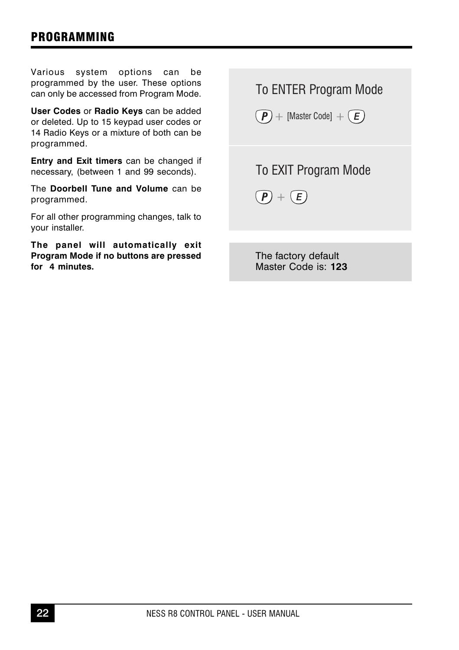## PROGRAMMING

Various system options can be programmed by the user. These options can only be accessed from Program Mode.

**User Codes** or **Radio Keys** can be added or deleted. Up to 15 keypad user codes or 14 Radio Keys or a mixture of both can be programmed.

**Entry and Exit timers** can be changed if necessary, (between 1 and 99 seconds).

The **Doorbell Tune and Volume** can be programmed.

For all other programming changes, talk to your installer.

**The panel will automatically exit Program Mode if no buttons are pressed for 4 minutes.**

To ENTER Program Mode

 $(P)$  + [Master Code] +  $(E)$ 

## To EXIT Program Mode

 $(\overline{P}) + (\overline{E})$ 

The factory default Master Code is: **123**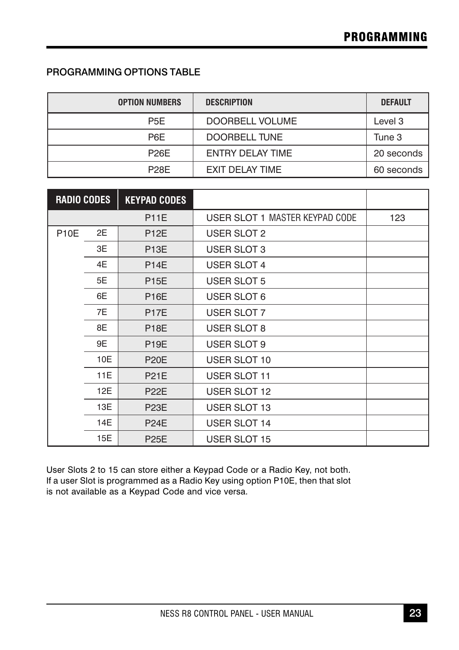#### PROGRAMMING OPTIONS TABLE

| <b>OPTION NUMBERS</b> | <b>DESCRIPTION</b>      | <b>DEFAULT</b> |
|-----------------------|-------------------------|----------------|
| P <sub>5</sub> E      | DOORBELL VOLUME         | Level 3        |
| P6E                   | DOORBELL TUNE           | Tune 3         |
| <b>P26E</b>           | <b>ENTRY DELAY TIME</b> | 20 seconds     |
| <b>P28E</b>           | <b>EXIT DELAY TIME</b>  | 60 seconds     |

| <b>RADIO CODES</b> |     | <b>KEYPAD CODES</b> |                                |     |
|--------------------|-----|---------------------|--------------------------------|-----|
|                    |     | <b>P11E</b>         | USER SLOT 1 MASTER KEYPAD CODE | 123 |
| P <sub>10</sub> E  | 2E  | <b>P12E</b>         | USER SLOT 2                    |     |
|                    | 3E  | <b>P13E</b>         | USER SLOT 3                    |     |
|                    | 4E  | <b>P14E</b>         | <b>USER SLOT 4</b>             |     |
|                    | 5E  | <b>P15E</b>         | <b>USER SLOT 5</b>             |     |
|                    | 6E  | <b>P16E</b>         | <b>USER SLOT 6</b>             |     |
|                    | 7E  | <b>P17E</b>         | USER SLOT 7                    |     |
|                    | 8E  | <b>P18E</b>         | <b>USER SLOT 8</b>             |     |
|                    | 9E  | <b>P19E</b>         | <b>USER SLOT 9</b>             |     |
|                    | 10E | <b>P20E</b>         | <b>USER SLOT 10</b>            |     |
|                    | 11E | <b>P21E</b>         | <b>USER SLOT 11</b>            |     |
|                    | 12E | <b>P22E</b>         | USER SLOT 12                   |     |
|                    | 13E | <b>P23E</b>         | <b>USER SLOT 13</b>            |     |
|                    | 14E | <b>P24E</b>         | USER SLOT 14                   |     |
|                    | 15E | <b>P25E</b>         | <b>USER SLOT 15</b>            |     |

User Slots 2 to 15 can store either a Keypad Code or a Radio Key, not both. If a user Slot is programmed as a Radio Key using option P10E, then that slot is not available as a Keypad Code and vice versa.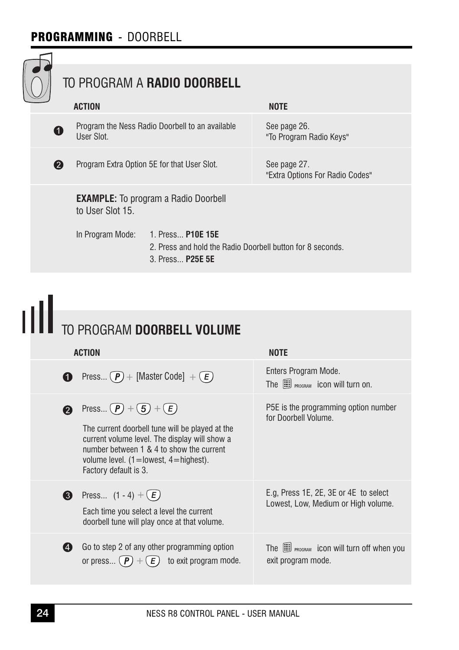|                                                                 |                                             | TO PROGRAM A RADIO DOORBELL                                                                                       |                                                 |
|-----------------------------------------------------------------|---------------------------------------------|-------------------------------------------------------------------------------------------------------------------|-------------------------------------------------|
|                                                                 |                                             |                                                                                                                   |                                                 |
|                                                                 | <b>ACTION</b>                               |                                                                                                                   | <b>NOTE</b>                                     |
| $\bf{O}$                                                        | User Slot.                                  | Program the Ness Radio Doorbell to an available                                                                   | See page 26.<br>"To Program Radio Keys"         |
| 2                                                               | Program Extra Option 5E for that User Slot. |                                                                                                                   | See page 27.<br>"Extra Options For Radio Codes" |
| <b>EXAMPLE:</b> To program a Radio Doorbell<br>to User Slot 15. |                                             |                                                                                                                   |                                                 |
|                                                                 | In Program Mode:                            | 1. Press <b>P10E 15E</b><br>2. Press and hold the Radio Doorbell button for 8 seconds.<br>3. Press <b>P25E 5E</b> |                                                 |
|                                                                 |                                             |                                                                                                                   |                                                 |

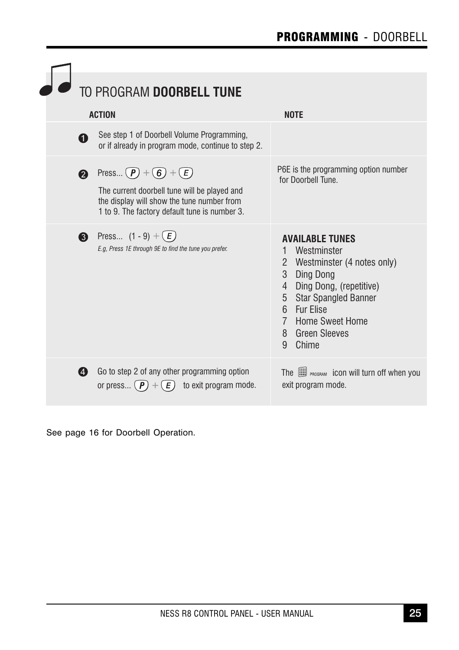|   | TO PROGRAM DOORBELL TUNE                                                                                                                                               |                                                                                                                                                                                                                                 |
|---|------------------------------------------------------------------------------------------------------------------------------------------------------------------------|---------------------------------------------------------------------------------------------------------------------------------------------------------------------------------------------------------------------------------|
|   | <b>ACTION</b>                                                                                                                                                          | <b>NOTE</b>                                                                                                                                                                                                                     |
| 0 | See step 1 of Doorbell Volume Programming,<br>or if already in program mode, continue to step 2.                                                                       |                                                                                                                                                                                                                                 |
| ଵ | Press $(P) + (6) + (E)$<br>The current doorbell tune will be played and<br>the display will show the tune number from<br>1 to 9. The factory default tune is number 3. | P6E is the programming option number<br>for Doorbell Tune.                                                                                                                                                                      |
| ❸ | Press $(1 - 9) + (E)$<br>E.g. Press 1E through 9E to find the tune you prefer.                                                                                         | <b>AVAILABLE TUNES</b><br>Westminster<br>1<br>2 Westminster (4 notes only)<br>3 Ding Dong<br>4 Ding Dong, (repetitive)<br><b>Star Spangled Banner</b><br>5<br>6 Fur Flise<br>7 Home Sweet Home<br>8 Green Sleeves<br>Chime<br>9 |
| 4 | Go to step 2 of any other programming option<br>to exit program mode.<br>or press                                                                                      | The $\Box$ <b>PROGRAM</b> icon will turn off when you<br>exit program mode.                                                                                                                                                     |

See page 16 for Doorbell Operation.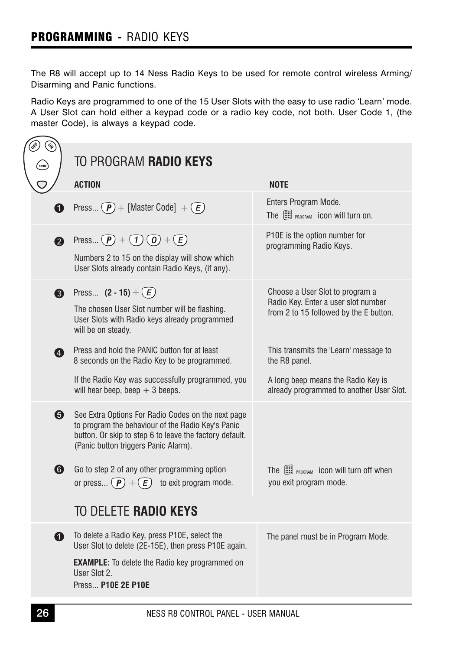The R8 will accept up to 14 Ness Radio Keys to be used for remote control wireless Arming/ Disarming and Panic functions.

Radio Keys are programmed to one of the 15 User Slots with the easy to use radio 'Learn' mode. A User Slot can hold either a keypad code or a radio key code, not both. User Code 1, (the master Code), is always a keypad code.

|           | TO PROGRAM RADIO KEYS                                                                                                                                                                                      |                                                                                                                                          |
|-----------|------------------------------------------------------------------------------------------------------------------------------------------------------------------------------------------------------------|------------------------------------------------------------------------------------------------------------------------------------------|
|           | <b>ACTION</b>                                                                                                                                                                                              | <b>NOTE</b>                                                                                                                              |
| ➊         | Press $(P) +$ [Master Code] $+$ $(E)$                                                                                                                                                                      | Enters Program Mode.<br>The <b>ED</b> PROGRAM icon will turn on.                                                                         |
|           | <b>2</b> Press $(D) + (1)(D) + (E)$<br>Numbers 2 to 15 on the display will show which<br>User Slots already contain Radio Keys, (if any).                                                                  | P10E is the option number for<br>programming Radio Keys.                                                                                 |
| 6         | Press $(2 - 15) + (E)$<br>The chosen User Slot number will be flashing.<br>User Slots with Radio keys already programmed<br>will be on steady.                                                             | Choose a User Slot to program a<br>Radio Key. Enter a user slot number<br>from 2 to 15 followed by the E button.                         |
| 4         | Press and hold the PANIC button for at least<br>8 seconds on the Radio Key to be programmed.<br>If the Radio Key was successfully programmed, you<br>will hear beep, beep $+3$ beeps.                      | This transmits the 'Learn' message to<br>the R8 panel.<br>A long beep means the Radio Key is<br>already programmed to another User Slot. |
| 0         | See Extra Options For Radio Codes on the next page<br>to program the behaviour of the Radio Key's Panic<br>button. Or skip to step 6 to leave the factory default.<br>(Panic button triggers Panic Alarm). |                                                                                                                                          |
| 6         | Go to step 2 of any other programming option<br>or press $(P) + (E)$ to exit program mode.<br><b>TO DELETE RADIO KEYS</b>                                                                                  | The $\lim_{\text{PROGRAM}}$ icon will turn off when<br>you exit program mode.                                                            |
|           |                                                                                                                                                                                                            |                                                                                                                                          |
| $\bullet$ | To delete a Radio Key, press P10E, select the<br>User Slot to delete (2E-15E), then press P10E again.<br><b>EXAMPLE:</b> To delete the Radio key programmed on<br>User Slot 2.<br>Press P10E 2E P10E       | The panel must be in Program Mode.                                                                                                       |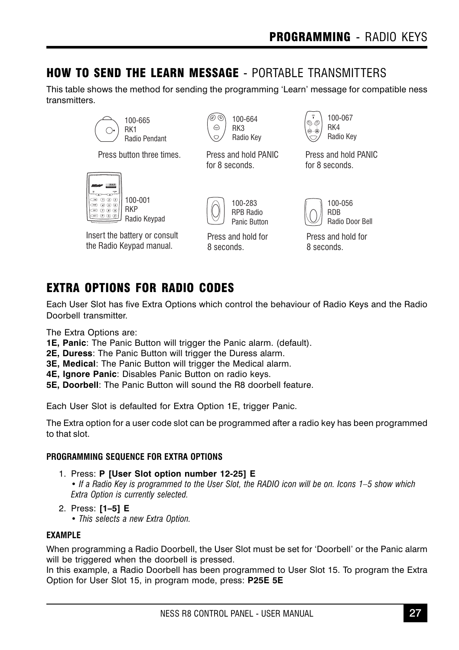## HOW TO SEND THE LEARN MESSAGE - PORTABLE TRANSMITTERS

This table shows the method for sending the programming 'Learn' message for compatible ness transmitters.



Insert the battery or consult the Radio Keypad manual.

**OFF ON**  $\ominus$ 100-664 RK3 Radio Key

Press and hold PANIC for 8 seconds.



Press and hold for 8 seconds.



Press and hold PANIC for 8 seconds.



Press and hold for 8 seconds.

## EXTRA OPTIONS FOR RADIO CODES

Each User Slot has five Extra Options which control the behaviour of Radio Keys and the Radio Doorbell transmitter.

The Extra Options are:

**1E, Panic**: The Panic Button will trigger the Panic alarm. (default).

**2E, Duress**: The Panic Button will trigger the Duress alarm.

**3E, Medical**: The Panic Button will trigger the Medical alarm.

**4E, Ignore Panic**: Disables Panic Button on radio keys.

**5E, Doorbell**: The Panic Button will sound the R8 doorbell feature.

Each User Slot is defaulted for Extra Option 1E, trigger Panic.

The Extra option for a user code slot can be programmed after a radio key has been programmed to that slot.

#### **PROGRAMMING SEQUENCE FOR EXTRA OPTIONS**

- 1. Press: **P [User Slot option number 12-25] E** *• If a Radio Key is programmed to the User Slot, the RADIO icon will be on. Icons 1–5 show which Extra Option is currently selected.*
- 2. Press: **[1–5] E**
	- *This selects a new Extra Option.*

#### **EXAMPLE**

When programming a Radio Doorbell, the User Slot must be set for 'Doorbell' or the Panic alarm will be triggered when the doorbell is pressed.

In this example, a Radio Doorbell has been programmed to User Slot 15. To program the Extra Option for User Slot 15, in program mode, press: **P25E 5E**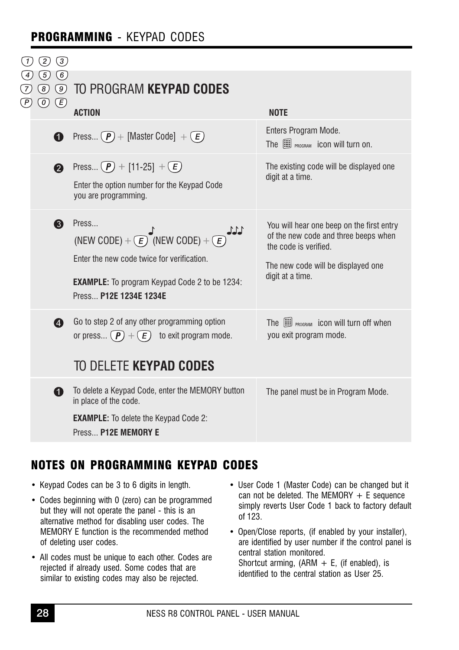## PROGRAMMING - KEYPAD CODES



## NOTES ON PROGRAMMING KEYPAD CODES

- Keypad Codes can be 3 to 6 digits in length.
- Codes beginning with 0 (zero) can be programmed but they will not operate the panel - this is an alternative method for disabling user codes. The MEMORY E function is the recommended method of deleting user codes.
- All codes must be unique to each other. Codes are rejected if already used. Some codes that are similar to existing codes may also be rejected.
- User Code 1 (Master Code) can be changed but it can not be deleted. The MEMORY  $+ E$  sequence simply reverts User Code 1 back to factory default of 123.
- Open/Close reports, (if enabled by your installer), are identified by user number if the control panel is central station monitored. Shortcut arming,  $(ARM + E, (if enabled), is$ identified to the central station as User 25.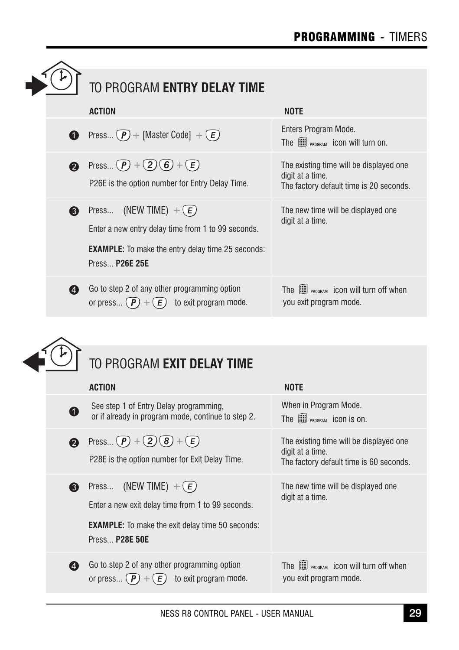|                       | TO PROGRAM ENTRY DELAY TIME                                                                                                                                           |                                                                                                        |  |
|-----------------------|-----------------------------------------------------------------------------------------------------------------------------------------------------------------------|--------------------------------------------------------------------------------------------------------|--|
|                       | <b>ACTION</b>                                                                                                                                                         | <b>NOTE</b>                                                                                            |  |
| O                     | Press $(P)$ + [Master Code] + $(E)$                                                                                                                                   | Enters Program Mode.<br>The <b>III PROGRAM</b> icon will turn on.                                      |  |
| $\boldsymbol{\Omega}$ | Press $(P) + (2)(6) + (E)$<br>P26E is the option number for Entry Delay Time.                                                                                         | The existing time will be displayed one<br>digit at a time.<br>The factory default time is 20 seconds. |  |
| 3                     | Press (NEW TIME) $+$ $(E)$<br>Enter a new entry delay time from 1 to 99 seconds.<br><b>EXAMPLE:</b> To make the entry delay time 25 seconds:<br>Press <b>P26E 25E</b> | The new time will be displayed one<br>digit at a time.                                                 |  |
| (4)                   | Go to step 2 of any other programming option<br>to exit program mode.<br>or press                                                                                     | The $\left  \frac{1}{2} \right $ <b>PROGRAM</b> icon will turn off when<br>you exit program mode.      |  |
|                       |                                                                                                                                                                       |                                                                                                        |  |

# TO PROGRAM **EXIT DELAY TIME**

 $\bullet$ 

|                | <b>ACTION</b>                                                                                                                                                     | NOTE                                                                                                   |
|----------------|-------------------------------------------------------------------------------------------------------------------------------------------------------------------|--------------------------------------------------------------------------------------------------------|
| 0              | See step 1 of Entry Delay programming,<br>or if already in program mode, continue to step 2.                                                                      | When in Program Mode.<br>The $\Box$ <b>PROGRAM</b> icon is on.                                         |
| 2              | Press $(P) + (2)(8) + (E)$<br>P28E is the option number for Exit Delay Time.                                                                                      | The existing time will be displayed one<br>digit at a time.<br>The factory default time is 60 seconds. |
| 3              | Press (NEW TIME) $+$ (E)<br>Enter a new exit delay time from 1 to 99 seconds.<br><b>EXAMPLE:</b> To make the exit delay time 50 seconds:<br>Press <b>P28E 50E</b> | The new time will be displayed one<br>digit at a time.                                                 |
| $\overline{4}$ | Go to step 2 of any other programming option<br>to exit program mode.<br>or press                                                                                 | The $\lim_{\text{PROGRAM}}$ icon will turn off when<br>you exit program mode.                          |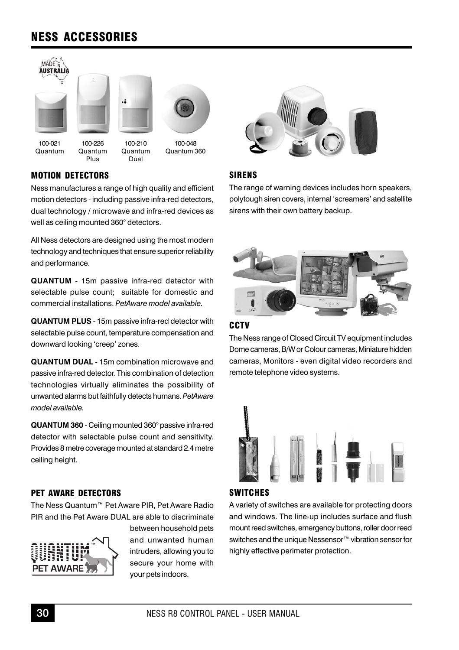## NESS ACCESSORIES









100-226 Quantum 100-210 Quantum Dual

100-048 Quantum 360

#### MOTION DETECTORS

Plus

Ness manufactures a range of high quality and efficient motion detectors - including passive infra-red detectors, dual technology / microwave and infra-red devices as well as ceiling mounted 360° detectors.

All Ness detectors are designed using the most modern technology and techniques that ensure superior reliability and performance.

**QUANTUM** - 15m passive infra-red detector with selectable pulse count; suitable for domestic and commercial installations. *PetAware model available.*

**QUANTUM PLUS** - 15m passive infra-red detector with selectable pulse count, temperature compensation and downward looking 'creep' zones.

**QUANTUM DUAL** - 15m combination microwave and passive infra-red detector. This combination of detection technologies virtually eliminates the possibility of unwanted alarms but faithfully detects humans. *PetAware model available.*

**QUANTUM 360** - Ceiling mounted 360° passive infra-red detector with selectable pulse count and sensitivity. Provides 8 metre coverage mounted at standard 2.4 metre ceiling height.

#### PET AWARE DETECTORS

The Ness Quantum™ Pet Aware PIR, Pet Aware Radio PIR and the Pet Aware DUAL are able to discriminate



between household pets and unwanted human intruders, allowing you to secure your home with your pets indoors.



#### SIRENS

The range of warning devices includes horn speakers, polytough siren covers, internal 'screamers' and satellite sirens with their own battery backup.



#### **CCTV**

The Ness range of Closed Circuit TV equipment includes Dome cameras, B/W or Colour cameras, Miniature hidden cameras, Monitors - even digital video recorders and remote telephone video systems.



#### **SWITCHES**

A variety of switches are available for protecting doors and windows. The line-up includes surface and flush mount reed switches, emergency buttons, roller door reed switches and the unique Nessensor™ vibration sensor for highly effective perimeter protection.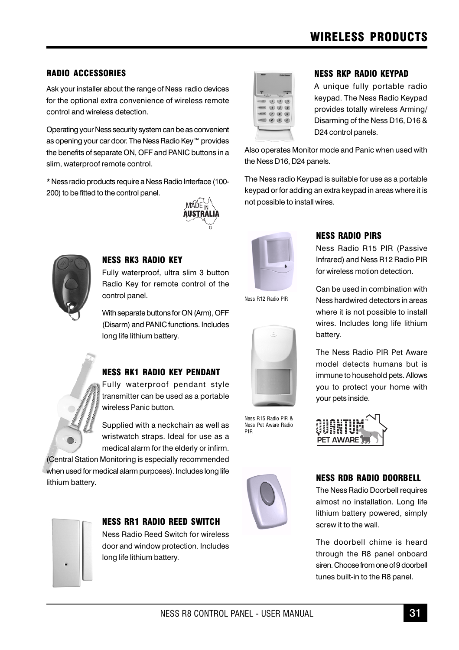#### RADIO ACCESSORIES

Ask your installer about the range of Ness radio devices for the optional extra convenience of wireless remote control and wireless detection.

Operating your Ness security system can be as convenient as opening your car door. The Ness Radio Key™ provides the benefits of separate ON, OFF and PANIC buttons in a slim, waterproof remote control.

\* Ness radio products require a Ness Radio Interface (100- 200) to be fitted to the control panel.





#### NESS RK3 RADIO KEY

Fully waterproof, ultra slim 3 button Radio Key for remote control of the control panel.

With separate buttons for ON (Arm), OFF (Disarm) and PANIC functions. Includes long life lithium battery.

#### NESS RK1 RADIO KEY PENDANT

Fully waterproof pendant style transmitter can be used as a portable wireless Panic button.

Supplied with a neckchain as well as wristwatch straps. Ideal for use as a medical alarm for the elderly or infirm.

(Central Station Monitoring is especially recommended when used for medical alarm purposes). Includes long life lithium battery.



#### NESS RR1 RADIO REED SWITCH

Ness Radio Reed Switch for wireless door and window protection. Includes long life lithium battery.

|               | (2)<br>u.                    | $\mathbf{a}$       |
|---------------|------------------------------|--------------------|
|               | $\sqrt{5}$<br>$\overline{4}$ | $\left( 6 \right)$ |
| <b>ENDANN</b> |                              | (7)(8)(9)          |
| m             |                              | $(2)$ $(0)$ $(1)$  |
|               |                              |                    |

#### NESS RKP RADIO KEYPAD

A unique fully portable radio keypad. The Ness Radio Keypad provides totally wireless Arming/ Disarming of the Ness D16, D16 & D24 control panels.

Also operates Monitor mode and Panic when used with the Ness D<sub>16</sub>, D<sub>24</sub> panels.

The Ness radio Keypad is suitable for use as a portable keypad or for adding an extra keypad in areas where it is not possible to install wires.

battery.



#### NESS RADIO PIRS

Ness Radio R15 PIR (Passive Infrared) and Ness R12 Radio PIR for wireless motion detection.

Can be used in combination with Ness hardwired detectors in areas where it is not possible to install wires. Includes long life lithium

The Ness Radio PIR Pet Aware model detects humans but is immune to household pets. Allows you to protect your home with

Ness R12 Radio PIR



Ness R15 Radio PIR & Ness Pet Aware Radio PIR



your pets inside.

#### NESS RDB RADIO DOORBELL

The Ness Radio Doorbell requires almost no installation. Long life lithium battery powered, simply screw it to the wall.

The doorbell chime is heard through the R8 panel onboard siren. Choose from one of 9 doorbell tunes built-in to the R8 panel.